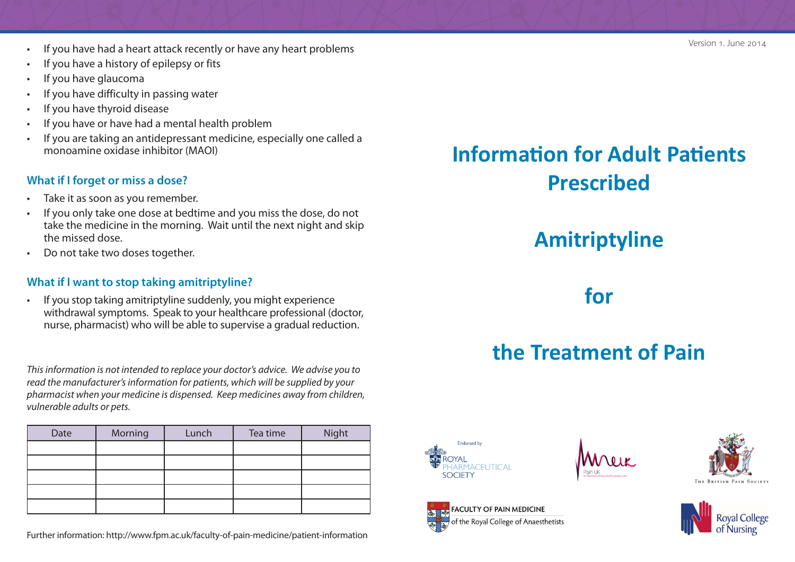- If you have had a heart attack recently or have any heart problems
- If you have a history of epilepsy or fits
- If you have glaucoma
- If you have difficulty in passing water
- If you have thyroid disease
- If you have or have had a mental health problem
- If you are taking an antidepressant medicine, especially one called a monoamine oxidase inhibitor (MAOI)

#### **What if I forget or miss a dose?**

- Take it as soon as you remember.
- If you only take one dose at bedtime and you miss the dose, do not take the medicine in the morning. Wait until the next night and skip the missed dose.
- Do not take two doses together.

#### **What if I want to stop taking amitriptyline?**

• If you stop taking amitriptyline suddenly, you might experience withdrawal symptoms. Speak to your healthcare professional (doctor, nurse, pharmacist) who will be able to supervise a gradual reduction.

*This information is not intended to replace your doctor's advice. We advise you to read the manufacturer's information for patients, which will be supplied by your pharmacist when your medicine is dispensed. Keep medicines away from children, vulnerable adults or pets.* 

| Date | Morning | Lunch | Tea time | Night |
|------|---------|-------|----------|-------|
|      |         |       |          |       |
|      |         |       |          |       |
|      |         |       |          |       |
|      |         |       |          |       |
|      |         |       |          |       |

Further information: http://www.fpm.ac.uk/faculty-of-pain-medicine/patient-information

# **Information for Adult Patients Prescribed**

# **Amitriptyline**

# **for**

# **the Treatment of Pain**



FACULTY OF PAIN MEDICINE of the Royal College of Anaesthetists